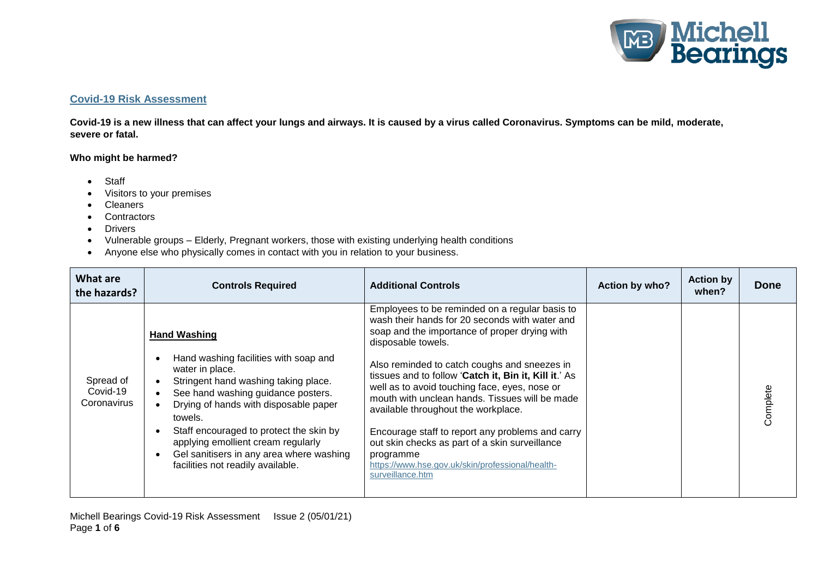

## **Covid-19 Risk Assessment**

**Covid-19 is a new illness that can affect your lungs and airways. It is caused by a virus called Coronavirus. Symptoms can be mild, moderate, severe or fatal.**

## **Who might be harmed?**

- Staff
- Visitors to your premises
- Cleaners
- Contractors
- **•** Drivers
- Vulnerable groups Elderly, Pregnant workers, those with existing underlying health conditions
- Anyone else who physically comes in contact with you in relation to your business.

| What are<br>the hazards?             | <b>Controls Required</b>                                                                                                                                                                                                                                                                                                                                     | <b>Additional Controls</b>                                                                                                                                                                                                                                                                                                                                                                                                                 | Action by who? | <b>Action by</b><br>when? | <b>Done</b> |
|--------------------------------------|--------------------------------------------------------------------------------------------------------------------------------------------------------------------------------------------------------------------------------------------------------------------------------------------------------------------------------------------------------------|--------------------------------------------------------------------------------------------------------------------------------------------------------------------------------------------------------------------------------------------------------------------------------------------------------------------------------------------------------------------------------------------------------------------------------------------|----------------|---------------------------|-------------|
|                                      | <b>Hand Washing</b>                                                                                                                                                                                                                                                                                                                                          | Employees to be reminded on a regular basis to<br>wash their hands for 20 seconds with water and<br>soap and the importance of proper drying with<br>disposable towels.                                                                                                                                                                                                                                                                    |                |                           |             |
| Spread of<br>Covid-19<br>Coronavirus | Hand washing facilities with soap and<br>water in place.<br>Stringent hand washing taking place.<br>See hand washing guidance posters.<br>Drying of hands with disposable paper<br>towels.<br>Staff encouraged to protect the skin by<br>applying emollient cream regularly<br>Gel sanitisers in any area where washing<br>facilities not readily available. | Also reminded to catch coughs and sneezes in<br>tissues and to follow 'Catch it, Bin it, Kill it.' As<br>well as to avoid touching face, eyes, nose or<br>mouth with unclean hands. Tissues will be made<br>available throughout the workplace.<br>Encourage staff to report any problems and carry<br>out skin checks as part of a skin surveillance<br>programme<br>https://www.hse.gov.uk/skin/professional/health-<br>surveillance.htm |                |                           | Complete    |

Michell Bearings Covid-19 Risk Assessment Issue 2 (05/01/21) Page **1** of **6**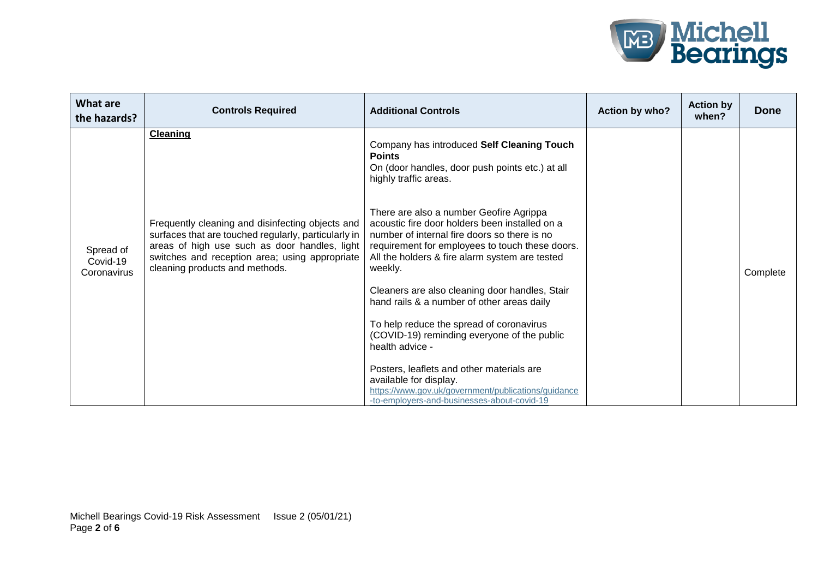

| What are<br>the hazards?             | <b>Controls Required</b>                                                                                                                                                                                                                      | <b>Additional Controls</b>                                                                                                                                                                                                                                | Action by who? | <b>Action by</b><br>when? | <b>Done</b> |
|--------------------------------------|-----------------------------------------------------------------------------------------------------------------------------------------------------------------------------------------------------------------------------------------------|-----------------------------------------------------------------------------------------------------------------------------------------------------------------------------------------------------------------------------------------------------------|----------------|---------------------------|-------------|
| Spread of<br>Covid-19<br>Coronavirus | <b>Cleaning</b>                                                                                                                                                                                                                               | Company has introduced Self Cleaning Touch<br><b>Points</b><br>On (door handles, door push points etc.) at all<br>highly traffic areas.                                                                                                                   |                |                           |             |
|                                      | Frequently cleaning and disinfecting objects and<br>surfaces that are touched regularly, particularly in<br>areas of high use such as door handles, light<br>switches and reception area; using appropriate<br>cleaning products and methods. | There are also a number Geofire Agrippa<br>acoustic fire door holders been installed on a<br>number of internal fire doors so there is no<br>requirement for employees to touch these doors.<br>All the holders & fire alarm system are tested<br>weekly. |                |                           | Complete    |
|                                      |                                                                                                                                                                                                                                               | Cleaners are also cleaning door handles, Stair<br>hand rails & a number of other areas daily                                                                                                                                                              |                |                           |             |
|                                      |                                                                                                                                                                                                                                               | To help reduce the spread of coronavirus<br>(COVID-19) reminding everyone of the public<br>health advice -                                                                                                                                                |                |                           |             |
|                                      |                                                                                                                                                                                                                                               | Posters, leaflets and other materials are<br>available for display.<br>https://www.gov.uk/government/publications/guidance<br>-to-employers-and-businesses-about-covid-19                                                                                 |                |                           |             |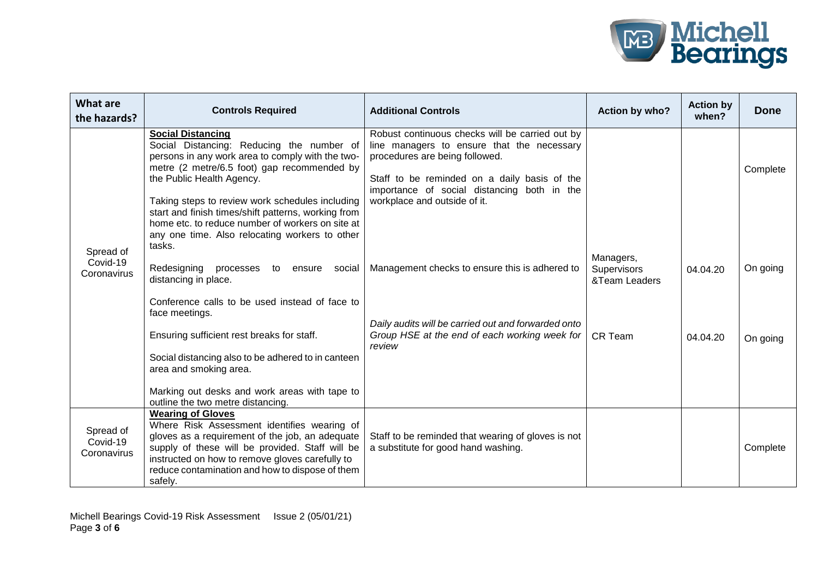

| <b>What are</b><br>the hazards?      | <b>Controls Required</b>                                                                                                                                                                                                                                                                                                                                            | <b>Additional Controls</b>                                                                                                                                                                                                                                     | Action by who?                            | <b>Action by</b><br>when? | Done     |
|--------------------------------------|---------------------------------------------------------------------------------------------------------------------------------------------------------------------------------------------------------------------------------------------------------------------------------------------------------------------------------------------------------------------|----------------------------------------------------------------------------------------------------------------------------------------------------------------------------------------------------------------------------------------------------------------|-------------------------------------------|---------------------------|----------|
| Spread of<br>Covid-19<br>Coronavirus | <b>Social Distancing</b><br>Social Distancing: Reducing the number of<br>persons in any work area to comply with the two-<br>metre (2 metre/6.5 foot) gap recommended by<br>the Public Health Agency.<br>Taking steps to review work schedules including<br>start and finish times/shift patterns, working from<br>home etc. to reduce number of workers on site at | Robust continuous checks will be carried out by<br>line managers to ensure that the necessary<br>procedures are being followed.<br>Staff to be reminded on a daily basis of the<br>importance of social distancing both in the<br>workplace and outside of it. |                                           |                           | Complete |
|                                      | any one time. Also relocating workers to other<br>tasks.<br>Redesigning<br>processes to ensure<br>social<br>distancing in place.                                                                                                                                                                                                                                    | Management checks to ensure this is adhered to                                                                                                                                                                                                                 | Managers,<br>Supervisors<br>&Team Leaders | 04.04.20                  | On going |
|                                      | Conference calls to be used instead of face to<br>face meetings.<br>Ensuring sufficient rest breaks for staff.                                                                                                                                                                                                                                                      | Daily audits will be carried out and forwarded onto<br>Group HSE at the end of each working week for<br>review                                                                                                                                                 | <b>CR Team</b>                            | 04.04.20                  | On going |
|                                      | Social distancing also to be adhered to in canteen<br>area and smoking area.<br>Marking out desks and work areas with tape to<br>outline the two metre distancing.                                                                                                                                                                                                  |                                                                                                                                                                                                                                                                |                                           |                           |          |
| Spread of<br>Covid-19<br>Coronavirus | <b>Wearing of Gloves</b><br>Where Risk Assessment identifies wearing of<br>gloves as a requirement of the job, an adequate<br>supply of these will be provided. Staff will be<br>instructed on how to remove gloves carefully to<br>reduce contamination and how to dispose of them<br>safely.                                                                      | Staff to be reminded that wearing of gloves is not<br>a substitute for good hand washing.                                                                                                                                                                      |                                           |                           | Complete |

Michell Bearings Covid-19 Risk Assessment Issue 2 (05/01/21) Page **3** of **6**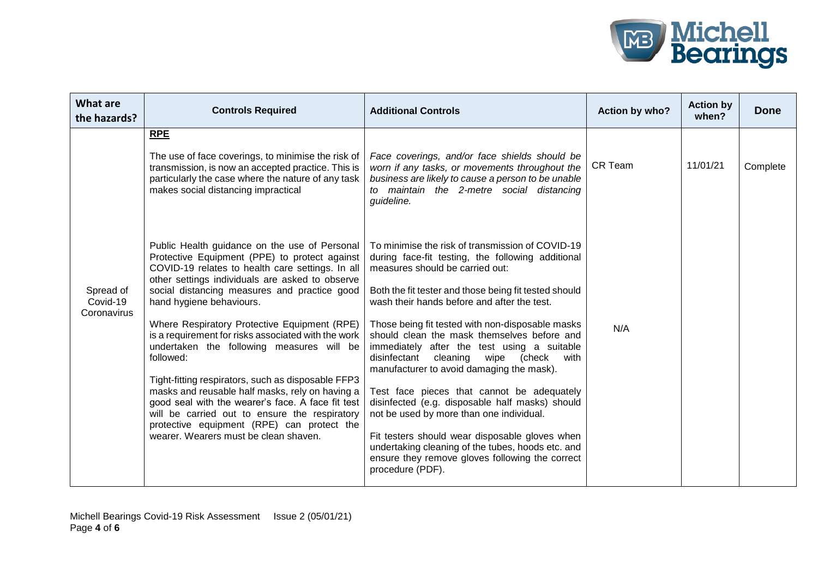

| <b>What are</b><br>the hazards?      | <b>Controls Required</b>                                                                                                                                                                                                                                                                                                                                                                                                                                            | <b>Additional Controls</b>                                                                                                                                                                                                                                                                                                                                                                                                                                                                                                                                                   | Action by who? | <b>Action by</b><br>when? | <b>Done</b> |
|--------------------------------------|---------------------------------------------------------------------------------------------------------------------------------------------------------------------------------------------------------------------------------------------------------------------------------------------------------------------------------------------------------------------------------------------------------------------------------------------------------------------|------------------------------------------------------------------------------------------------------------------------------------------------------------------------------------------------------------------------------------------------------------------------------------------------------------------------------------------------------------------------------------------------------------------------------------------------------------------------------------------------------------------------------------------------------------------------------|----------------|---------------------------|-------------|
| Spread of<br>Covid-19<br>Coronavirus | RPE<br>The use of face coverings, to minimise the risk of<br>transmission, is now an accepted practice. This is<br>particularly the case where the nature of any task<br>makes social distancing impractical                                                                                                                                                                                                                                                        | Face coverings, and/or face shields should be<br>worn if any tasks, or movements throughout the<br>business are likely to cause a person to be unable<br>to maintain the 2-metre social distancing<br>guideline.                                                                                                                                                                                                                                                                                                                                                             | CR Team        | 11/01/21                  | Complete    |
|                                      | Public Health guidance on the use of Personal<br>Protective Equipment (PPE) to protect against<br>COVID-19 relates to health care settings. In all<br>other settings individuals are asked to observe<br>social distancing measures and practice good<br>hand hygiene behaviours.                                                                                                                                                                                   | To minimise the risk of transmission of COVID-19<br>during face-fit testing, the following additional<br>measures should be carried out:<br>Both the fit tester and those being fit tested should<br>wash their hands before and after the test.                                                                                                                                                                                                                                                                                                                             |                |                           |             |
|                                      | Where Respiratory Protective Equipment (RPE)<br>is a requirement for risks associated with the work<br>undertaken the following measures will be<br>followed:<br>Tight-fitting respirators, such as disposable FFP3<br>masks and reusable half masks, rely on having a<br>good seal with the wearer's face. A face fit test<br>will be carried out to ensure the respiratory<br>protective equipment (RPE) can protect the<br>wearer. Wearers must be clean shaven. | Those being fit tested with non-disposable masks<br>should clean the mask themselves before and<br>immediately after the test using a suitable<br>cleaning<br>disinfectant<br>wipe<br>(check<br>with<br>manufacturer to avoid damaging the mask).<br>Test face pieces that cannot be adequately<br>disinfected (e.g. disposable half masks) should<br>not be used by more than one individual.<br>Fit testers should wear disposable gloves when<br>undertaking cleaning of the tubes, hoods etc. and<br>ensure they remove gloves following the correct<br>procedure (PDF). | N/A            |                           |             |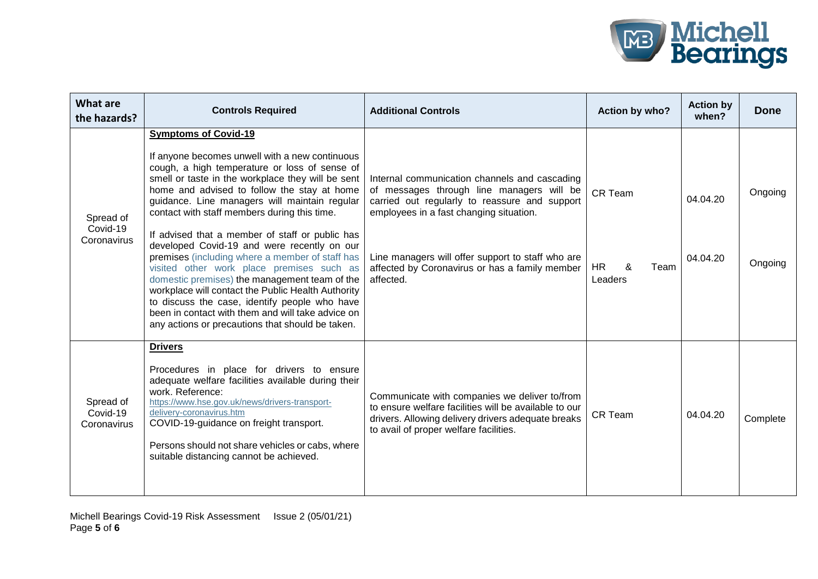

| <b>What are</b><br>the hazards?      | <b>Controls Required</b>                                                                                                                                                                                                                                                                                                                                                                                                                                                                                                                                                                                                                                                                                                                                                                               | <b>Additional Controls</b>                                                                                                                                                                                                                                                                                 | Action by who?                                      | <b>Action by</b><br>when? | <b>Done</b>        |
|--------------------------------------|--------------------------------------------------------------------------------------------------------------------------------------------------------------------------------------------------------------------------------------------------------------------------------------------------------------------------------------------------------------------------------------------------------------------------------------------------------------------------------------------------------------------------------------------------------------------------------------------------------------------------------------------------------------------------------------------------------------------------------------------------------------------------------------------------------|------------------------------------------------------------------------------------------------------------------------------------------------------------------------------------------------------------------------------------------------------------------------------------------------------------|-----------------------------------------------------|---------------------------|--------------------|
| Spread of<br>Covid-19<br>Coronavirus | <b>Symptoms of Covid-19</b><br>If anyone becomes unwell with a new continuous<br>cough, a high temperature or loss of sense of<br>smell or taste in the workplace they will be sent<br>home and advised to follow the stay at home<br>guidance. Line managers will maintain regular<br>contact with staff members during this time.<br>If advised that a member of staff or public has<br>developed Covid-19 and were recently on our<br>premises (including where a member of staff has<br>visited other work place premises such as<br>domestic premises) the management team of the<br>workplace will contact the Public Health Authority<br>to discuss the case, identify people who have<br>been in contact with them and will take advice on<br>any actions or precautions that should be taken. | Internal communication channels and cascading<br>of messages through line managers will be<br>carried out regularly to reassure and support<br>employees in a fast changing situation.<br>Line managers will offer support to staff who are<br>affected by Coronavirus or has a family member<br>affected. | <b>CR Team</b><br><b>HR</b><br>&<br>Team<br>Leaders | 04.04.20<br>04.04.20      | Ongoing<br>Ongoing |
| Spread of<br>Covid-19<br>Coronavirus | <b>Drivers</b><br>Procedures in place for drivers to ensure<br>adequate welfare facilities available during their<br>work. Reference:<br>https://www.hse.gov.uk/news/drivers-transport-<br>delivery-coronavirus.htm<br>COVID-19-guidance on freight transport.<br>Persons should not share vehicles or cabs, where<br>suitable distancing cannot be achieved.                                                                                                                                                                                                                                                                                                                                                                                                                                          | Communicate with companies we deliver to/from<br>to ensure welfare facilities will be available to our<br>drivers. Allowing delivery drivers adequate breaks<br>to avail of proper welfare facilities.                                                                                                     | <b>CR Team</b>                                      | 04.04.20                  | Complete           |

Michell Bearings Covid-19 Risk Assessment Issue 2 (05/01/21) Page **5** of **6**